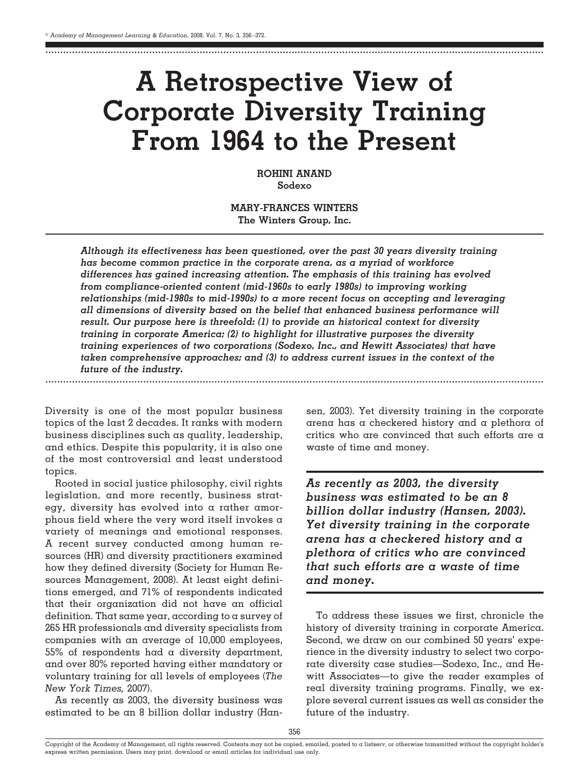........................................................................................................................................................................

# **A Retrospective View of Corporate Diversity Training From 1964 to the Present**

**ROHINI ANAND Sodexo**

**MARY-FRANCES WINTERS The Winters Group, Inc.**

*Although its effectiveness has been questioned, over the past 30 years diversity training has become common practice in the corporate arena, as a myriad of workforce differences has gained increasing attention. The emphasis of this training has evolved from compliance-oriented content (mid-1960s to early 1980s) to improving working relationships (mid-1980s to mid-1990s) to a more recent focus on accepting and leveraging all dimensions of diversity based on the belief that enhanced business performance will result. Our purpose here is threefold: (1) to provide an historical context for diversity training in corporate America; (2) to highlight for illustrative purposes the diversity training experiences of two corporations (Sodexo, Inc., and Hewitt Associates) that have taken comprehensive approaches; and (3) to address current issues in the context of the future of the industry.* ........................................................................................................................................................................

Diversity is one of the most popular business topics of the last 2 decades. It ranks with modern business disciplines such as quality, leadership, and ethics. Despite this popularity, it is also one of the most controversial and least understood topics.

Rooted in social justice philosophy, civil rights legislation, and more recently, business strategy, diversity has evolved into a rather amorphous field where the very word itself invokes a variety of meanings and emotional responses. A recent survey conducted among human resources (HR) and diversity practitioners examined how they defined diversity (Society for Human Resources Management, 2008). At least eight definitions emerged, and 71% of respondents indicated that their organization did not have an official definition. That same year, according to a survey of 265 HR professionals and diversity specialists from companies with an average of 10,000 employees, 55% of respondents had a diversity department, and over 80% reported having either mandatory or voluntary training for all levels of employees (*The New York Times,* 2007).

As recently as 2003, the diversity business was estimated to be an 8 billion dollar industry (Hansen, 2003). Yet diversity training in the corporate arena has a checkered history and a plethora of critics who are convinced that such efforts are a waste of time and money.

*As recently as 2003, the diversity business was estimated to be an 8 billion dollar industry (Hansen, 2003). Yet diversity training in the corporate arena has a checkered history and a plethora of critics who are convinced that such efforts are a waste of time and money.*

To address these issues we first, chronicle the history of diversity training in corporate America. Second, we draw on our combined 50 years' experience in the diversity industry to select two corporate diversity case studies—Sodexo, Inc., and Hewitt Associates—to give the reader examples of real diversity training programs. Finally, we explore several current issues as well as consider the future of the industry.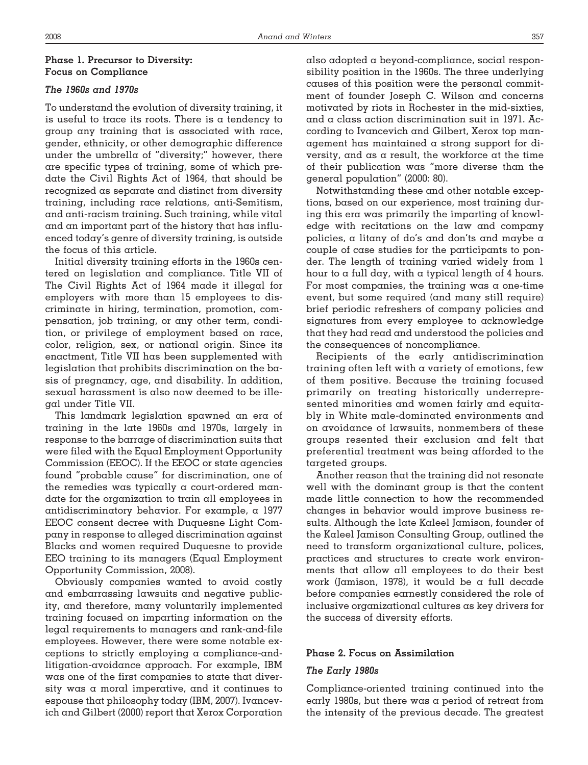# **Phase 1. Precursor to Diversity: Focus on Compliance**

# *The 1960s and 1970s*

To understand the evolution of diversity training, it is useful to trace its roots. There is a tendency to group any training that is associated with race, gender, ethnicity, or other demographic difference under the umbrella of "diversity;" however, there are specific types of training, some of which predate the Civil Rights Act of 1964, that should be recognized as separate and distinct from diversity training, including race relations, anti-Semitism, and anti-racism training. Such training, while vital and an important part of the history that has influenced today's genre of diversity training, is outside the focus of this article.

Initial diversity training efforts in the 1960s centered on legislation and compliance. Title VII of The Civil Rights Act of 1964 made it illegal for employers with more than 15 employees to discriminate in hiring, termination, promotion, compensation, job training, or any other term, condition, or privilege of employment based on race, color, religion, sex, or national origin. Since its enactment, Title VII has been supplemented with legislation that prohibits discrimination on the basis of pregnancy, age, and disability. In addition, sexual harassment is also now deemed to be illegal under Title VII.

This landmark legislation spawned an era of training in the late 1960s and 1970s, largely in response to the barrage of discrimination suits that were filed with the Equal Employment Opportunity Commission (EEOC). If the EEOC or state agencies found "probable cause" for discrimination, one of the remedies was typically a court-ordered mandate for the organization to train all employees in antidiscriminatory behavior. For example, a 1977 EEOC consent decree with Duquesne Light Company in response to alleged discrimination against Blacks and women required Duquesne to provide EEO training to its managers (Equal Employment Opportunity Commission, 2008).

Obviously companies wanted to avoid costly and embarrassing lawsuits and negative publicity, and therefore, many voluntarily implemented training focused on imparting information on the legal requirements to managers and rank-and-file employees. However, there were some notable exceptions to strictly employing a compliance-andlitigation-avoidance approach. For example, IBM was one of the first companies to state that diversity was a moral imperative, and it continues to espouse that philosophy today (IBM, 2007). Ivancevich and Gilbert (2000) report that Xerox Corporation

also adopted a beyond-compliance, social responsibility position in the 1960s. The three underlying causes of this position were the personal commitment of founder Joseph C. Wilson and concerns motivated by riots in Rochester in the mid-sixties, and a class action discrimination suit in 1971. According to Ivancevich and Gilbert, Xerox top management has maintained a strong support for diversity, and as a result, the workforce at the time of their publication was "more diverse than the general population" (2000: 80).

Notwithstanding these and other notable exceptions, based on our experience, most training during this era was primarily the imparting of knowledge with recitations on the law and company policies, a litany of do's and don'ts and maybe a couple of case studies for the participants to ponder. The length of training varied widely from 1 hour to  $\alpha$  full day, with  $\alpha$  typical length of 4 hours. For most companies, the training was a one-time event, but some required (and many still require) brief periodic refreshers of company policies and signatures from every employee to acknowledge that they had read and understood the policies and the consequences of noncompliance.

Recipients of the early antidiscrimination training often left with a variety of emotions, few of them positive. Because the training focused primarily on treating historically underrepresented minorities and women fairly and equitably in White male-dominated environments and on avoidance of lawsuits, nonmembers of these groups resented their exclusion and felt that preferential treatment was being afforded to the targeted groups.

Another reason that the training did not resonate well with the dominant group is that the content made little connection to how the recommended changes in behavior would improve business results. Although the late Kaleel Jamison, founder of the Kaleel Jamison Consulting Group, outlined the need to transform organizational culture, polices, practices and structures to create work environments that allow all employees to do their best work (Jamison, 1978), it would be a full decade before companies earnestly considered the role of inclusive organizational cultures as key drivers for the success of diversity efforts.

# **Phase 2. Focus on Assimilation**

## *The Early 1980s*

Compliance-oriented training continued into the early 1980s, but there was a period of retreat from the intensity of the previous decade. The greatest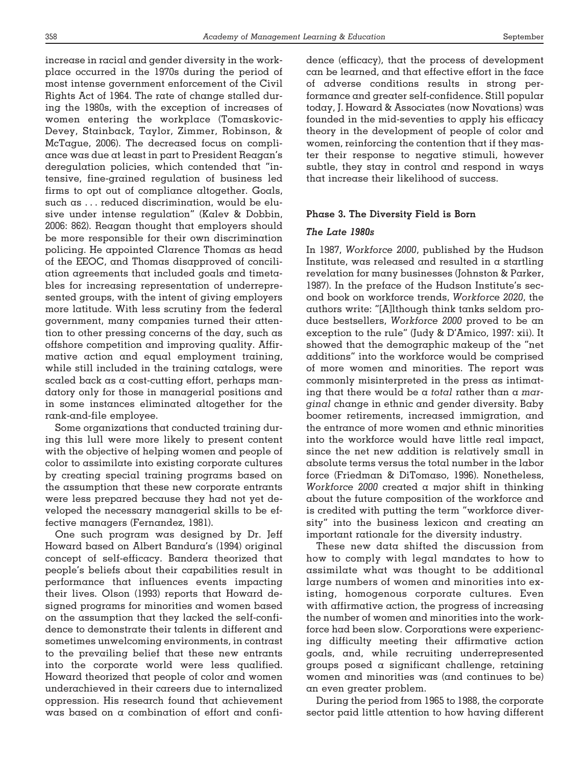increase in racial and gender diversity in the workplace occurred in the 1970s during the period of most intense government enforcement of the Civil Rights Act of 1964. The rate of change stalled during the 1980s, with the exception of increases of women entering the workplace (Tomaskovic-Devey, Stainback, Taylor, Zimmer, Robinson, & McTague, 2006). The decreased focus on compliance was due at least in part to President Reagan's deregulation policies, which contended that "intensive, fine-grained regulation of business led firms to opt out of compliance altogether. Goals, such as . . . reduced discrimination, would be elusive under intense regulation" (Kalev & Dobbin, 2006: 862). Reagan thought that employers should be more responsible for their own discrimination policing. He appointed Clarence Thomas as head of the EEOC, and Thomas disapproved of conciliation agreements that included goals and timetables for increasing representation of underrepresented groups, with the intent of giving employers more latitude. With less scrutiny from the federal government, many companies turned their attention to other pressing concerns of the day, such as offshore competition and improving quality. Affirmative action and equal employment training, while still included in the training catalogs, were scaled back as a cost-cutting effort, perhaps mandatory only for those in managerial positions and in some instances eliminated altogether for the rank-and-file employee.

Some organizations that conducted training during this lull were more likely to present content with the objective of helping women and people of color to assimilate into existing corporate cultures by creating special training programs based on the assumption that these new corporate entrants were less prepared because they had not yet developed the necessary managerial skills to be effective managers (Fernandez, 1981).

One such program was designed by Dr. Jeff Howard based on Albert Bandura's (1994) original concept of self-efficacy. Bandera theorized that people's beliefs about their capabilities result in performance that influences events impacting their lives. Olson (1993) reports that Howard designed programs for minorities and women based on the assumption that they lacked the self-confidence to demonstrate their talents in different and sometimes unwelcoming environments, in contrast to the prevailing belief that these new entrants into the corporate world were less qualified. Howard theorized that people of color and women underachieved in their careers due to internalized oppression. His research found that achievement was based on a combination of effort and confidence (efficacy), that the process of development can be learned, and that effective effort in the face of adverse conditions results in strong performance and greater self-confidence. Still popular today, J. Howard & Associates (now Novations) was founded in the mid-seventies to apply his efficacy theory in the development of people of color and women, reinforcing the contention that if they master their response to negative stimuli, however subtle, they stay in control and respond in ways that increase their likelihood of success.

#### **Phase 3. The Diversity Field is Born**

# *The Late 1980s*

In 1987, *Workforce 2000*, published by the Hudson Institute, was released and resulted in a startling revelation for many businesses (Johnston & Parker, 1987). In the preface of the Hudson Institute's second book on workforce trends, *Workforce 2020*, the authors write: "[A]lthough think tanks seldom produce bestsellers, *Workforce 2000* proved to be an exception to the rule" (Judy & D'Amico, 1997: xii). It showed that the demographic makeup of the "net additions" into the workforce would be comprised of more women and minorities. The report was commonly misinterpreted in the press as intimating that there would be a *total* rather than a *marginal* change in ethnic and gender diversity. Baby boomer retirements, increased immigration, and the entrance of more women and ethnic minorities into the workforce would have little real impact, since the net new addition is relatively small in absolute terms versus the total number in the labor force (Friedman & DiTomaso, 1996). Nonetheless, *Workforce 2000* created a major shift in thinking about the future composition of the workforce and is credited with putting the term "workforce diversity" into the business lexicon and creating an important rationale for the diversity industry.

These new data shifted the discussion from how to comply with legal mandates to how to assimilate what was thought to be additional large numbers of women and minorities into existing, homogenous corporate cultures. Even with affirmative action, the progress of increasing the number of women and minorities into the workforce had been slow. Corporations were experiencing difficulty meeting their affirmative action goals, and, while recruiting underrepresented groups posed a significant challenge, retaining women and minorities was (and continues to be) an even greater problem.

During the period from 1965 to 1988, the corporate sector paid little attention to how having different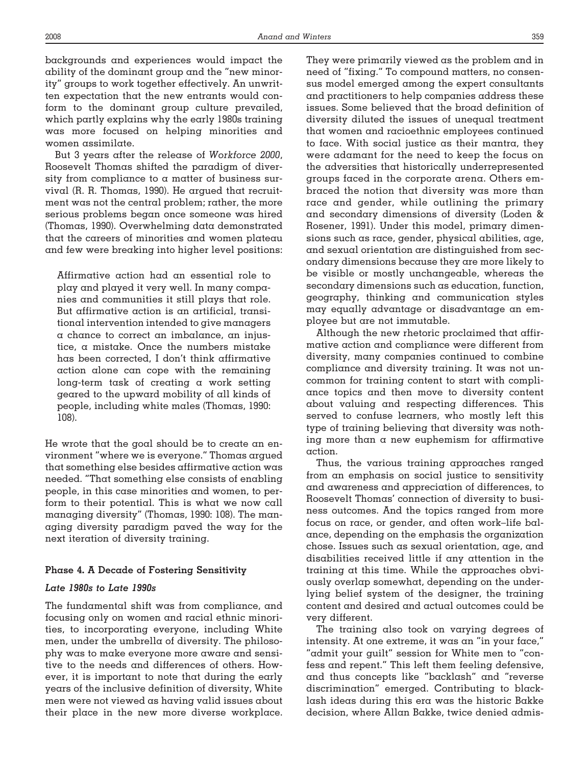backgrounds and experiences would impact the ability of the dominant group and the "new minority" groups to work together effectively. An unwritten expectation that the new entrants would conform to the dominant group culture prevailed, which partly explains why the early 1980s training was more focused on helping minorities and women assimilate.

But 3 years after the release of *Workforce 2000*, Roosevelt Thomas shifted the paradigm of diversity from compliance to a matter of business survival (R. R. Thomas, 1990). He argued that recruitment was not the central problem; rather, the more serious problems began once someone was hired (Thomas, 1990). Overwhelming data demonstrated that the careers of minorities and women plateau and few were breaking into higher level positions:

Affirmative action had an essential role to play and played it very well. In many companies and communities it still plays that role. But affirmative action is an artificial, transitional intervention intended to give managers a chance to correct an imbalance, an injustice, a mistake. Once the numbers mistake has been corrected, I don't think affirmative action alone can cope with the remaining long-term task of creating a work setting geared to the upward mobility of all kinds of people, including white males (Thomas, 1990: 108).

He wrote that the goal should be to create an environment "where we is everyone." Thomas argued that something else besides affirmative action was needed. "That something else consists of enabling people, in this case minorities and women, to perform to their potential. This is what we now call managing diversity" (Thomas, 1990: 108). The managing diversity paradigm paved the way for the next iteration of diversity training.

# **Phase 4. A Decade of Fostering Sensitivity**

# *Late 1980s to Late 1990s*

The fundamental shift was from compliance, and focusing only on women and racial ethnic minorities, to incorporating everyone, including White men, under the umbrella of diversity. The philosophy was to make everyone more aware and sensitive to the needs and differences of others. However, it is important to note that during the early years of the inclusive definition of diversity, White men were not viewed as having valid issues about their place in the new more diverse workplace. They were primarily viewed as the problem and in need of "fixing." To compound matters, no consensus model emerged among the expert consultants and practitioners to help companies address these issues. Some believed that the broad definition of diversity diluted the issues of unequal treatment that women and racioethnic employees continued to face. With social justice as their mantra, they were adamant for the need to keep the focus on the adversities that historically underrepresented groups faced in the corporate arena. Others embraced the notion that diversity was more than race and gender, while outlining the primary and secondary dimensions of diversity (Loden & Rosener, 1991). Under this model, primary dimensions such as race, gender, physical abilities, age, and sexual orientation are distinguished from secondary dimensions because they are more likely to be visible or mostly unchangeable, whereas the secondary dimensions such as education, function, geography, thinking and communication styles may equally advantage or disadvantage an employee but are not immutable.

Although the new rhetoric proclaimed that affirmative action and compliance were different from diversity, many companies continued to combine compliance and diversity training. It was not uncommon for training content to start with compliance topics and then move to diversity content about valuing and respecting differences. This served to confuse learners, who mostly left this type of training believing that diversity was nothing more than a new euphemism for affirmative action.

Thus, the various training approaches ranged from an emphasis on social justice to sensitivity and awareness and appreciation of differences, to Roosevelt Thomas' connection of diversity to business outcomes. And the topics ranged from more focus on race, or gender, and often work–life balance, depending on the emphasis the organization chose. Issues such as sexual orientation, age, and disabilities received little if any attention in the training at this time. While the approaches obviously overlap somewhat, depending on the underlying belief system of the designer, the training content and desired and actual outcomes could be very different.

The training also took on varying degrees of intensity. At one extreme, it was an "in your face," "admit your guilt" session for White men to "confess and repent." This left them feeling defensive, and thus concepts like "backlash" and "reverse discrimination" emerged. Contributing to blacklash ideas during this era was the historic Bakke decision, where Allan Bakke, twice denied admis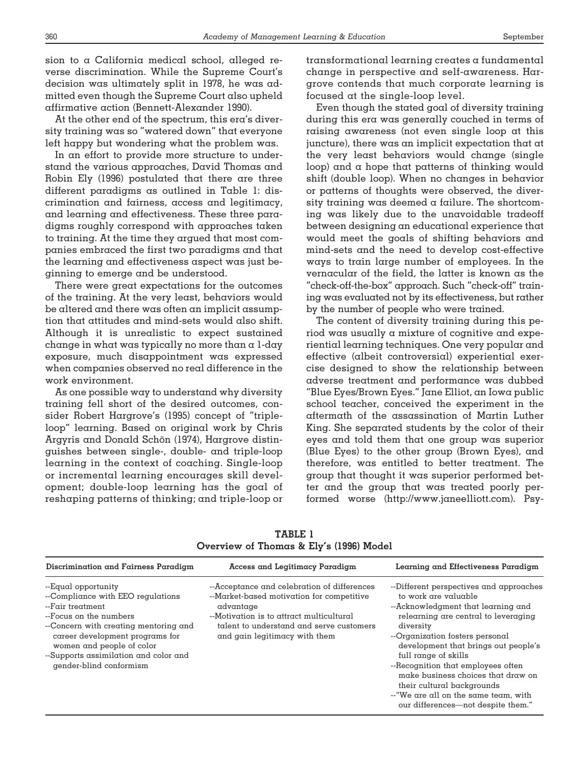sion to a California medical school, alleged reverse discrimination. While the Supreme Court's decision was ultimately split in 1978, he was admitted even though the Supreme Court also upheld affirmative action (Bennett-Alexander 1990).

At the other end of the spectrum, this era's diversity training was so "watered down" that everyone left happy but wondering what the problem was.

In an effort to provide more structure to understand the various approaches, David Thomas and Robin Ely (1996) postulated that there are three different paradigms as outlined in Table 1: discrimination and fairness, access and legitimacy, and learning and effectiveness. These three paradigms roughly correspond with approaches taken to training. At the time they argued that most companies embraced the first two paradigms and that the learning and effectiveness aspect was just beginning to emerge and be understood.

There were great expectations for the outcomes of the training. At the very least, behaviors would be altered and there was often an implicit assumption that attitudes and mind-sets would also shift. Although it is unrealistic to expect sustained change in what was typically no more than a 1-day exposure, much disappointment was expressed when companies observed no real difference in the work environment.

As one possible way to understand why diversity training fell short of the desired outcomes, consider Robert Hargrove's (1995) concept of "tripleloop" learning. Based on original work by Chris Argyris and Donald Schön (1974), Hargrove distinguishes between single-, double- and triple-loop learning in the context of coaching. Single-loop or incremental learning encourages skill development; double-loop learning has the goal of reshaping patterns of thinking; and triple-loop or

transformational learning creates a fundamental change in perspective and self-awareness. Hargrove contends that much corporate learning is focused at the single-loop level.

Even though the stated goal of diversity training during this era was generally couched in terms of raising awareness (not even single loop at this juncture), there was an implicit expectation that at the very least behaviors would change (single loop) and a hope that patterns of thinking would shift (double loop). When no changes in behavior or patterns of thoughts were observed, the diversity training was deemed a failure. The shortcoming was likely due to the unavoidable tradeoff between designing an educational experience that would meet the goals of shifting behaviors and mind-sets and the need to develop cost-effective ways to train large number of employees. In the vernacular of the field, the latter is known as the "check-off-the-box" approach. Such "check-off" training was evaluated not by its effectiveness, but rather by the number of people who were trained.

The content of diversity training during this period was usually a mixture of cognitive and experiential learning techniques. One very popular and effective (albeit controversial) experiential exercise designed to show the relationship between adverse treatment and performance was dubbed "Blue Eyes/Brown Eyes." Jane Elliot, an Iowa public school teacher, conceived the experiment in the aftermath of the assassination of Martin Luther King. She separated students by the color of their eyes and told them that one group was superior (Blue Eyes) to the other group (Brown Eyes), and therefore, was entitled to better treatment. The group that thought it was superior performed better and the group that was treated poorly performed worse (http://www.janeelliott.com). Psy-

| Discrimination and Fairness Paradigm                                                                                                                                                                                                                                                | Access and Legitimacy Paradigm                                                                                                                                                                                                 | Learning and Effectiveness Paradigm                                                                                                                                                                                                                                                                                                                                                                                                                   |
|-------------------------------------------------------------------------------------------------------------------------------------------------------------------------------------------------------------------------------------------------------------------------------------|--------------------------------------------------------------------------------------------------------------------------------------------------------------------------------------------------------------------------------|-------------------------------------------------------------------------------------------------------------------------------------------------------------------------------------------------------------------------------------------------------------------------------------------------------------------------------------------------------------------------------------------------------------------------------------------------------|
| --Equal opportunity<br>--Compliance with EEO regulations<br>--Fair treatment<br>--Focus on the numbers<br>--Concern with creating mentoring and<br>career development programs for<br>women and people of color<br>--Supports assimilation and color and<br>gender-blind conformism | --Acceptance and celebration of differences<br>--Market-based motivation for competitive<br>advantage<br>--Motivation is to attract multicultural<br>talent to understand and serve customers<br>and gain legitimacy with them | --Different perspectives and approaches<br>to work are valuable<br>--Acknowledgment that learning and<br>relearning are central to leveraging<br>diversity<br>--Organization fosters personal<br>development that brings out people's<br>full range of skills<br>--Recognition that employees often<br>make business choices that draw on<br>their cultural backgrounds<br>--"We are all on the same team, with<br>our differences—not despite them." |

**TABLE 1 Overview of Thomas & Ely's (1996) Model**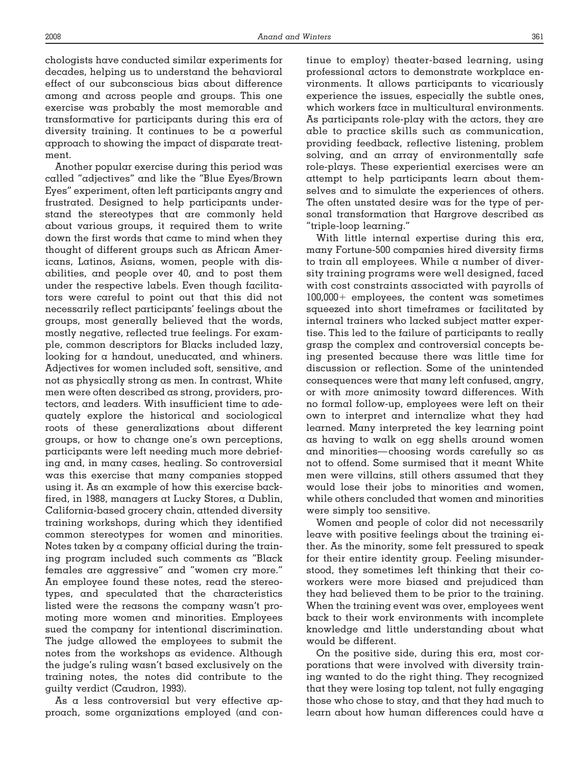chologists have conducted similar experiments for decades, helping us to understand the behavioral effect of our subconscious bias about difference among and across people and groups. This one exercise was probably the most memorable and transformative for participants during this era of diversity training. It continues to be a powerful approach to showing the impact of disparate treatment.

Another popular exercise during this period was called "adjectives" and like the "Blue Eyes/Brown Eyes" experiment, often left participants angry and frustrated. Designed to help participants understand the stereotypes that are commonly held about various groups, it required them to write down the first words that came to mind when they thought of different groups such as African Americans, Latinos, Asians, women, people with disabilities, and people over 40, and to post them under the respective labels. Even though facilitators were careful to point out that this did not necessarily reflect participants' feelings about the groups, most generally believed that the words, mostly negative, reflected true feelings. For example, common descriptors for Blacks included lazy, looking for a handout, uneducated, and whiners. Adjectives for women included soft, sensitive, and not as physically strong as men. In contrast, White men were often described as strong, providers, protectors, and leaders. With insufficient time to adequately explore the historical and sociological roots of these generalizations about different groups, or how to change one's own perceptions, participants were left needing much more debriefing and, in many cases, healing. So controversial was this exercise that many companies stopped using it. As an example of how this exercise backfired, in 1988, managers at Lucky Stores, a Dublin, California-based grocery chain, attended diversity training workshops, during which they identified common stereotypes for women and minorities. Notes taken by a company official during the training program included such comments as "Black females are aggressive" and "women cry more." An employee found these notes, read the stereotypes, and speculated that the characteristics listed were the reasons the company wasn't promoting more women and minorities. Employees sued the company for intentional discrimination. The judge allowed the employees to submit the notes from the workshops as evidence. Although the judge's ruling wasn't based exclusively on the training notes, the notes did contribute to the guilty verdict (Caudron, 1993).

As a less controversial but very effective approach, some organizations employed (and continue to employ) theater-based learning, using professional actors to demonstrate workplace environments. It allows participants to vicariously experience the issues, especially the subtle ones, which workers face in multicultural environments. As participants role-play with the actors, they are able to practice skills such as communication, providing feedback, reflective listening, problem solving, and an array of environmentally safe role-plays. These experiential exercises were an attempt to help participants learn about themselves and to simulate the experiences of others. The often unstated desire was for the type of personal transformation that Hargrove described as "triple-loop learning."

With little internal expertise during this era, many Fortune-500 companies hired diversity firms to train all employees. While a number of diversity training programs were well designed, faced with cost constraints associated with payrolls of  $100,000+$  employees, the content was sometimes squeezed into short timeframes or facilitated by internal trainers who lacked subject matter expertise. This led to the failure of participants to really grasp the complex and controversial concepts being presented because there was little time for discussion or reflection. Some of the unintended consequences were that many left confused, angry, or with *more* animosity toward differences. With no formal follow-up, employees were left on their own to interpret and internalize what they had learned. Many interpreted the key learning point as having to walk on egg shells around women and minorities— choosing words carefully so as not to offend. Some surmised that it meant White men were villains, still others assumed that they would lose their jobs to minorities and women, while others concluded that women and minorities were simply too sensitive.

Women and people of color did not necessarily leave with positive feelings about the training either. As the minority, some felt pressured to speak for their entire identity group. Feeling misunderstood, they sometimes left thinking that their coworkers were more biased and prejudiced than they had believed them to be prior to the training. When the training event was over, employees went back to their work environments with incomplete knowledge and little understanding about what would be different.

On the positive side, during this era, most corporations that were involved with diversity training wanted to do the right thing. They recognized that they were losing top talent, not fully engaging those who chose to stay, and that they had much to learn about how human differences could have a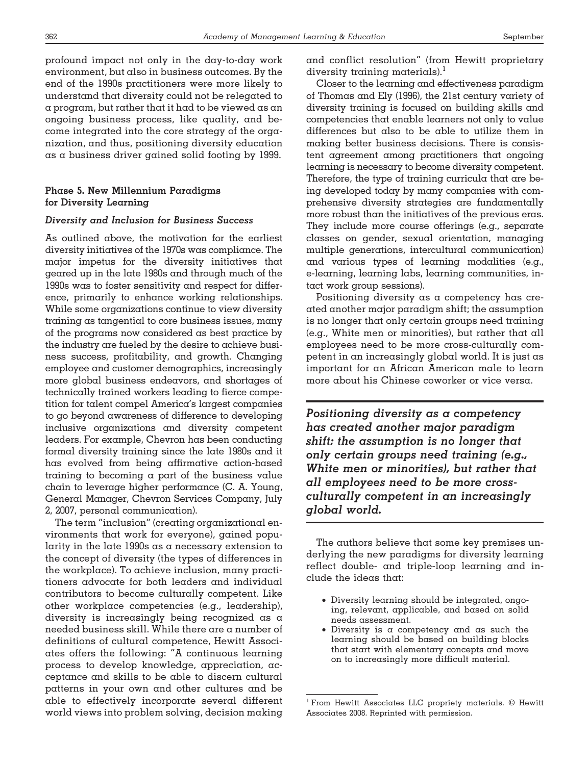profound impact not only in the day-to-day work environment, but also in business outcomes. By the end of the 1990s practitioners were more likely to understand that diversity could not be relegated to a program, but rather that it had to be viewed as an ongoing business process, like quality, and become integrated into the core strategy of the organization, and thus, positioning diversity education as a business driver gained solid footing by 1999.

# **Phase 5. New Millennium Paradigms for Diversity Learning**

#### *Diversity and Inclusion for Business Success*

As outlined above, the motivation for the earliest diversity initiatives of the 1970s was compliance. The major impetus for the diversity initiatives that geared up in the late 1980s and through much of the 1990s was to foster sensitivity and respect for difference, primarily to enhance working relationships. While some organizations continue to view diversity training as tangential to core business issues, many of the programs now considered as best practice by the industry are fueled by the desire to achieve business success, profitability, and growth. Changing employee and customer demographics, increasingly more global business endeavors, and shortages of technically trained workers leading to fierce competition for talent compel America's largest companies to go beyond awareness of difference to developing inclusive organizations and diversity competent leaders. For example, Chevron has been conducting formal diversity training since the late 1980s and it has evolved from being affirmative action-based training to becoming a part of the business value chain to leverage higher performance (C. A. Young, General Manager, Chevron Services Company, July 2, 2007, personal communication).

The term "inclusion" (creating organizational environments that work for everyone), gained popularity in the late 1990s as a necessary extension to the concept of diversity (the types of differences in the workplace). To achieve inclusion, many practitioners advocate for both leaders and individual contributors to become culturally competent. Like other workplace competencies (e.g., leadership), diversity is increasingly being recognized as a needed business skill. While there are a number of definitions of cultural competence, Hewitt Associates offers the following: "A continuous learning process to develop knowledge, appreciation, acceptance and skills to be able to discern cultural patterns in your own and other cultures and be able to effectively incorporate several different world views into problem solving, decision making

and conflict resolution" (from Hewitt proprietary diversity training materials).<sup>1</sup>

Closer to the learning and effectiveness paradigm of Thomas and Ely (1996), the 21st century variety of diversity training is focused on building skills and competencies that enable learners not only to value differences but also to be able to utilize them in making better business decisions. There is consistent agreement among practitioners that ongoing learning is necessary to become diversity competent. Therefore, the type of training curricula that are being developed today by many companies with comprehensive diversity strategies are fundamentally more robust than the initiatives of the previous eras. They include more course offerings (e.g., separate classes on gender, sexual orientation, managing multiple generations, intercultural communication) and various types of learning modalities (e.g., e-learning, learning labs, learning communities, intact work group sessions).

Positioning diversity as a competency has created another major paradigm shift; the assumption is no longer that only certain groups need training (e.g., White men or minorities), but rather that all employees need to be more cross-culturally competent in an increasingly global world. It is just as important for an African American male to learn more about his Chinese coworker or vice versa.

*Positioning diversity as a competency has created another major paradigm shift; the assumption is no longer that only certain groups need training (e.g., White men or minorities), but rather that all employees need to be more crossculturally competent in an increasingly global world.*

The authors believe that some key premises underlying the new paradigms for diversity learning reflect double- and triple-loop learning and include the ideas that:

- Diversity learning should be integrated, ongoing, relevant, applicable, and based on solid needs assessment.
- Diversity is a competency and as such the learning should be based on building blocks that start with elementary concepts and move on to increasingly more difficult material.

<sup>1</sup> From Hewitt Associates LLC propriety materials. © Hewitt Associates 2008. Reprinted with permission.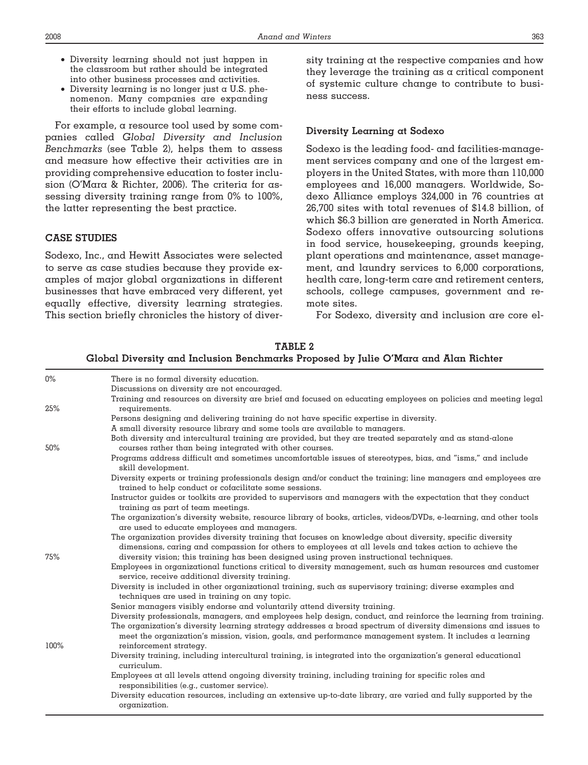- Diversity learning should not just happen in the classroom but rather should be integrated into other business processes and activities.
- Diversity learning is no longer just  $\alpha$  U.S. phenomenon. Many companies are expanding their efforts to include global learning.

For example, a resource tool used by some companies called *Global Diversity and Inclusion Benchmarks* (see Table 2), helps them to assess and measure how effective their activities are in providing comprehensive education to foster inclusion (O'Mara & Richter, 2006). The criteria for assessing diversity training range from 0% to 100%, the latter representing the best practice.

# **CASE STUDIES**

Sodexo, Inc., and Hewitt Associates were selected to serve as case studies because they provide examples of major global organizations in different businesses that have embraced very different, yet equally effective, diversity learning strategies. This section briefly chronicles the history of diversity training at the respective companies and how they leverage the training as a critical component of systemic culture change to contribute to business success.

# **Diversity Learning at Sodexo**

Sodexo is the leading food- and facilities-management services company and one of the largest employers in the United States, with more than 110,000 employees and 16,000 managers. Worldwide, Sodexo Alliance employs 324,000 in 76 countries at 26,700 sites with total revenues of \$14.8 billion, of which \$6.3 billion are generated in North America. Sodexo offers innovative outsourcing solutions in food service, housekeeping, grounds keeping, plant operations and maintenance, asset management, and laundry services to 6,000 corporations, health care, long-term care and retirement centers, schools, college campuses, government and remote sites.

For Sodexo, diversity and inclusion are core el-

**TABLE 2**

#### **Global Diversity and Inclusion Benchmarks Proposed by Julie O'Mara and Alan Richter**

| $0\%$ | There is no formal diversity education.                                                                                                                                                                                                                                                                                                          |
|-------|--------------------------------------------------------------------------------------------------------------------------------------------------------------------------------------------------------------------------------------------------------------------------------------------------------------------------------------------------|
|       | Discussions on diversity are not encouraged.                                                                                                                                                                                                                                                                                                     |
|       | Training and resources on diversity are brief and focused on educating employees on policies and meeting legal                                                                                                                                                                                                                                   |
| 25%   | requirements.                                                                                                                                                                                                                                                                                                                                    |
|       | Persons designing and delivering training do not have specific expertise in diversity.                                                                                                                                                                                                                                                           |
|       | A small diversity resource library and some tools are available to managers.                                                                                                                                                                                                                                                                     |
| 50%   | Both diversity and intercultural training are provided, but they are treated separately and as stand-alone<br>courses rather than being integrated with other courses.                                                                                                                                                                           |
|       | Programs address difficult and sometimes uncomfortable issues of stereotypes, bias, and "isms," and include<br>skill development.                                                                                                                                                                                                                |
|       | Diversity experts or training professionals design and/or conduct the training; line managers and employees are<br>trained to help conduct or cofacilitate some sessions.                                                                                                                                                                        |
|       | Instructor guides or toolkits are provided to supervisors and managers with the expectation that they conduct<br>training as part of team meetings.                                                                                                                                                                                              |
|       | The organization's diversity website, resource library of books, articles, videos/DVDs, e-learning, and other tools<br>are used to educate employees and managers.                                                                                                                                                                               |
| 75%   | The organization provides diversity training that focuses on knowledge about diversity, specific diversity<br>dimensions, caring and compassion for others to employees at all levels and takes action to achieve the<br>diversity vision; this training has been designed using proven instructional techniques.                                |
|       | Employees in organizational functions critical to diversity management, such as human resources and customer<br>service, receive additional diversity training.                                                                                                                                                                                  |
|       | Diversity is included in other organizational training, such as supervisory training; diverse examples and<br>techniques are used in training on any topic.                                                                                                                                                                                      |
|       | Senior managers visibly endorse and voluntarily attend diversity training.                                                                                                                                                                                                                                                                       |
|       | Diversity professionals, managers, and employees help design, conduct, and reinforce the learning from training.<br>The organization's diversity learning strategy addresses a broad spectrum of diversity dimensions and issues to<br>meet the organization's mission, vision, goals, and performance management system. It includes a learning |
| 100%  | reinforcement strategy.                                                                                                                                                                                                                                                                                                                          |
|       | Diversity training, including intercultural training, is integrated into the organization's general educational<br>curriculum.                                                                                                                                                                                                                   |
|       | Employees at all levels attend ongoing diversity training, including training for specific roles and<br>responsibilities (e.g., customer service).                                                                                                                                                                                               |
|       | Diversity education resources, including an extensive up-to-date library, are varied and fully supported by the<br>organization.                                                                                                                                                                                                                 |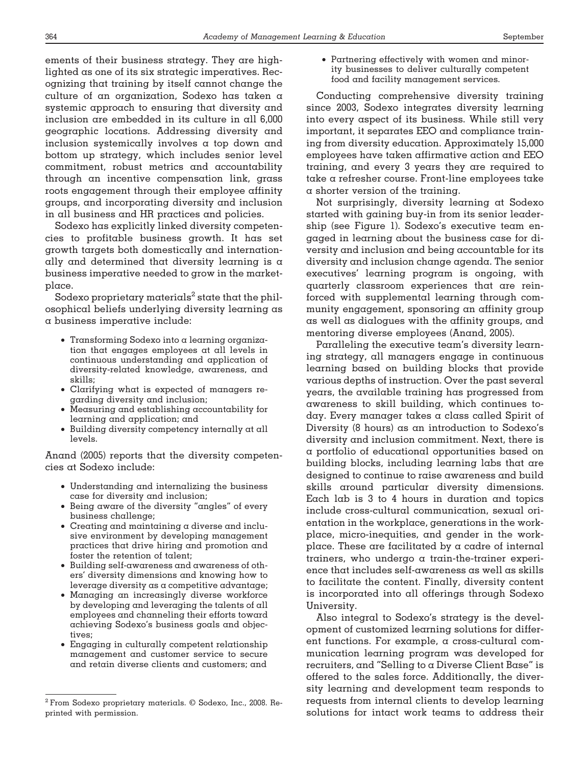ements of their business strategy. They are highlighted as one of its six strategic imperatives. Recognizing that training by itself cannot change the culture of an organization, Sodexo has taken a systemic approach to ensuring that diversity and inclusion are embedded in its culture in all 6,000 geographic locations. Addressing diversity and inclusion systemically involves a top down and bottom up strategy, which includes senior level commitment, robust metrics and accountability through an incentive compensation link, grass roots engagement through their employee affinity groups, and incorporating diversity and inclusion in all business and HR practices and policies.

Sodexo has explicitly linked diversity competencies to profitable business growth. It has set growth targets both domestically and internationally and determined that diversity learning is a business imperative needed to grow in the marketplace.

Sodexo proprietary materials<sup>2</sup> state that the philosophical beliefs underlying diversity learning as a business imperative include:

- Transforming Sodexo into a learning organization that engages employees at all levels in continuous understanding and application of diversity-related knowledge, awareness, and skills;
- Clarifying what is expected of managers regarding diversity and inclusion;
- Measuring and establishing accountability for learning and application; and
- Building diversity competency internally at all levels.

Anand (2005) reports that the diversity competencies at Sodexo include:

- Understanding and internalizing the business case for diversity and inclusion;
- Being aware of the diversity "angles" of every business challenge;
- Creating and maintaining a diverse and inclusive environment by developing management practices that drive hiring and promotion and foster the retention of talent;
- Building self-awareness and awareness of others' diversity dimensions and knowing how to leverage diversity as a competitive advantage;
- Managing an increasingly diverse workforce by developing and leveraging the talents of all employees and channeling their efforts toward achieving Sodexo's business goals and objectives;
- Engaging in culturally competent relationship management and customer service to secure and retain diverse clients and customers; and

• Partnering effectively with women and minority businesses to deliver culturally competent food and facility management services.

Conducting comprehensive diversity training since 2003, Sodexo integrates diversity learning into every aspect of its business. While still very important, it separates EEO and compliance training from diversity education. Approximately 15,000 employees have taken affirmative action and EEO training, and every 3 years they are required to take a refresher course. Front-line employees take a shorter version of the training.

Not surprisingly, diversity learning at Sodexo started with gaining buy-in from its senior leadership (see Figure 1). Sodexo's executive team engaged in learning about the business case for diversity and inclusion and being accountable for its diversity and inclusion change agenda. The senior executives' learning program is ongoing, with quarterly classroom experiences that are reinforced with supplemental learning through community engagement, sponsoring an affinity group as well as dialogues with the affinity groups, and mentoring diverse employees (Anand, 2005).

Paralleling the executive team's diversity learning strategy, all managers engage in continuous learning based on building blocks that provide various depths of instruction. Over the past several years, the available training has progressed from awareness to skill building, which continues today. Every manager takes a class called Spirit of Diversity (8 hours) as an introduction to Sodexo's diversity and inclusion commitment. Next, there is a portfolio of educational opportunities based on building blocks, including learning labs that are designed to continue to raise awareness and build skills around particular diversity dimensions. Each lab is 3 to 4 hours in duration and topics include cross-cultural communication, sexual orientation in the workplace, generations in the workplace, micro-inequities, and gender in the workplace. These are facilitated by a cadre of internal trainers, who undergo a train-the-trainer experience that includes self-awareness as well as skills to facilitate the content. Finally, diversity content is incorporated into all offerings through Sodexo University.

Also integral to Sodexo's strategy is the development of customized learning solutions for different functions. For example, a cross-cultural communication learning program was developed for recruiters, and "Selling to a Diverse Client Base" is offered to the sales force. Additionally, the diversity learning and development team responds to requests from internal clients to develop learning solutions for intact work teams to address their

<sup>2</sup> From Sodexo proprietary materials. © Sodexo, Inc., 2008. Reprinted with permission.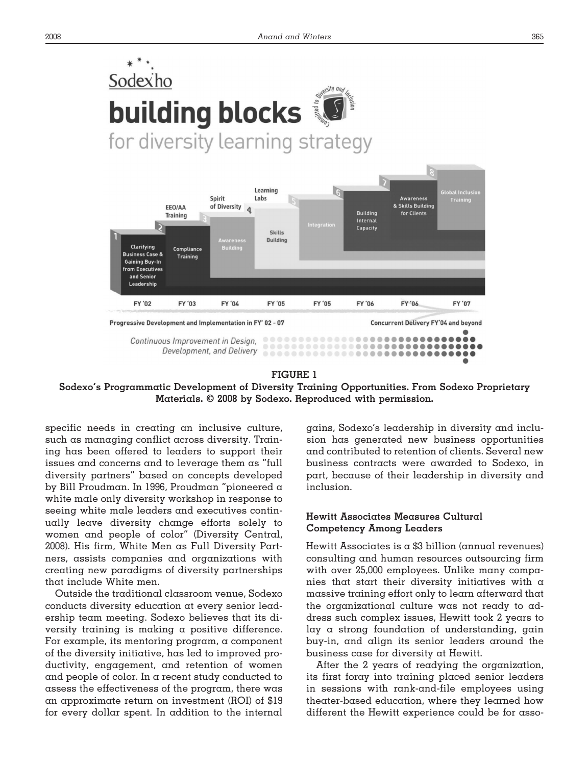

#### **FIGURE 1**

**Sodexo's Programmatic Development of Diversity Training Opportunities. From Sodexo Proprietary Materials. © 2008 by Sodexo. Reproduced with permission.**

specific needs in creating an inclusive culture, such as managing conflict across diversity. Training has been offered to leaders to support their issues and concerns and to leverage them as "full diversity partners" based on concepts developed by Bill Proudman. In 1996, Proudman "pioneered a white male only diversity workshop in response to seeing white male leaders and executives continually leave diversity change efforts solely to women and people of color" (Diversity Central, 2008). His firm, White Men as Full Diversity Partners, assists companies and organizations with creating new paradigms of diversity partnerships that include White men.

Outside the traditional classroom venue, Sodexo conducts diversity education at every senior leadership team meeting. Sodexo believes that its diversity training is making a positive difference. For example, its mentoring program, a component of the diversity initiative, has led to improved productivity, engagement, and retention of women and people of color. In a recent study conducted to assess the effectiveness of the program, there was an approximate return on investment (ROI) of \$19 for every dollar spent. In addition to the internal gains, Sodexo's leadership in diversity and inclusion has generated new business opportunities and contributed to retention of clients. Several new business contracts were awarded to Sodexo, in part, because of their leadership in diversity and inclusion.

# **Hewitt Associates Measures Cultural Competency Among Leaders**

Hewitt Associates is a \$3 billion (annual revenues) consulting and human resources outsourcing firm with over 25,000 employees. Unlike many companies that start their diversity initiatives with  $\alpha$ massive training effort only to learn afterward that the organizational culture was not ready to address such complex issues, Hewitt took 2 years to lay a strong foundation of understanding, gain buy-in, and align its senior leaders around the business case for diversity at Hewitt.

After the 2 years of readying the organization, its first foray into training placed senior leaders in sessions with rank-and-file employees using theater-based education, where they learned how different the Hewitt experience could be for asso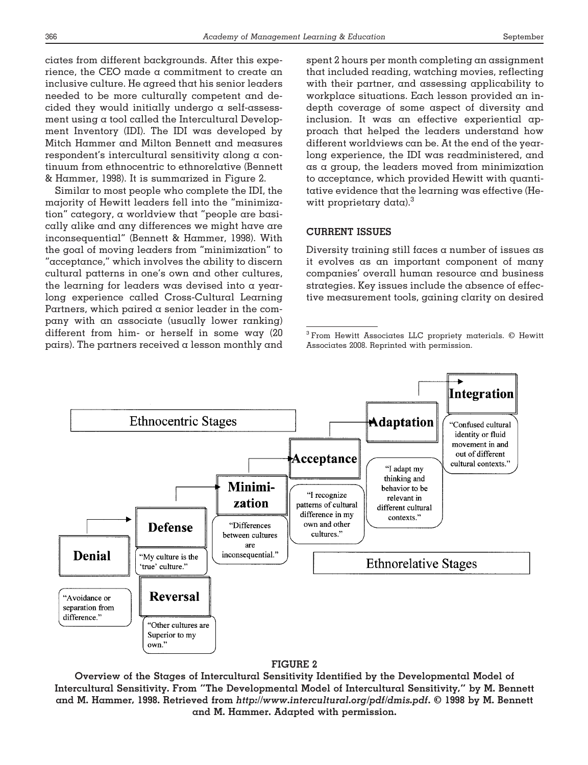ciates from different backgrounds. After this experience, the CEO made a commitment to create an inclusive culture. He agreed that his senior leaders needed to be more culturally competent and decided they would initially undergo a self-assessment using a tool called the Intercultural Development Inventory (IDI). The IDI was developed by Mitch Hammer and Milton Bennett and measures respondent's intercultural sensitivity along a continuum from ethnocentric to ethnorelative (Bennett & Hammer, 1998). It is summarized in Figure 2.

Similar to most people who complete the IDI, the majority of Hewitt leaders fell into the "minimization" category, a worldview that "people are basically alike and any differences we might have are inconsequential" (Bennett & Hammer, 1998). With the goal of moving leaders from "minimization" to "acceptance," which involves the ability to discern cultural patterns in one's own and other cultures, the learning for leaders was devised into a yearlong experience called Cross-Cultural Learning Partners, which paired a senior leader in the company with an associate (usually lower ranking) different from him- or herself in some way (20 pairs). The partners received a lesson monthly and spent 2 hours per month completing an assignment that included reading, watching movies, reflecting with their partner, and assessing applicability to workplace situations. Each lesson provided an indepth coverage of some aspect of diversity and inclusion. It was an effective experiential approach that helped the leaders understand how different worldviews can be. At the end of the yearlong experience, the IDI was readministered, and as a group, the leaders moved from minimization to acceptance, which provided Hewitt with quantitative evidence that the learning was effective (Hewitt proprietary data). $3$ 

# **CURRENT ISSUES**

Diversity training still faces  $\alpha$  number of issues as it evolves as an important component of many companies' overall human resource and business strategies. Key issues include the absence of effective measurement tools, gaining clarity on desired

<sup>3</sup> From Hewitt Associates LLC propriety materials. © Hewitt Associates 2008. Reprinted with permission.



# **FIGURE 2**

**Overview of the Stages of Intercultural Sensitivity Identified by the Developmental Model of Intercultural Sensitivity. From "The Developmental Model of Intercultural Sensitivity," by M. Bennett and M. Hammer, 1998. Retrieved from** *http://www.intercultural.org/pdf/dmis.pdf***. © 1998 by M. Bennett and M. Hammer. Adapted with permission.**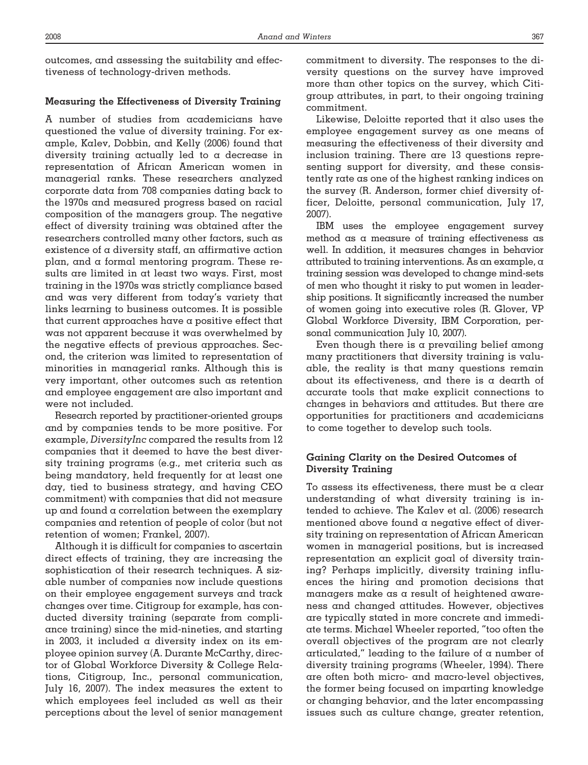outcomes, and assessing the suitability and effectiveness of technology-driven methods.

## **Measuring the Effectiveness of Diversity Training**

A number of studies from academicians have questioned the value of diversity training. For example, Kalev, Dobbin, and Kelly (2006) found that diversity training actually led to a decrease in representation of African American women in managerial ranks. These researchers analyzed corporate data from 708 companies dating back to the 1970s and measured progress based on racial composition of the managers group. The negative effect of diversity training was obtained after the researchers controlled many other factors, such as existence of a diversity staff, an affirmative action plan, and a formal mentoring program. These results are limited in at least two ways. First, most training in the 1970s was strictly compliance based and was very different from today's variety that links learning to business outcomes. It is possible that current approaches have a positive effect that was not apparent because it was overwhelmed by the negative effects of previous approaches. Second, the criterion was limited to representation of minorities in managerial ranks. Although this is very important, other outcomes such as retention and employee engagement are also important and were not included.

Research reported by practitioner-oriented groups and by companies tends to be more positive. For example, *DiversityInc* compared the results from 12 companies that it deemed to have the best diversity training programs (e.g., met criteria such as being mandatory, held frequently for at least one day, tied to business strategy, and having CEO commitment) with companies that did not measure up and found a correlation between the exemplary companies and retention of people of color (but not retention of women; Frankel, 2007).

Although it is difficult for companies to ascertain direct effects of training, they are increasing the sophistication of their research techniques. A sizable number of companies now include questions on their employee engagement surveys and track changes over time. Citigroup for example, has conducted diversity training (separate from compliance training) since the mid-nineties, and starting in 2003, it included a diversity index on its employee opinion survey (A. Durante McCarthy, director of Global Workforce Diversity & College Relations, Citigroup, Inc., personal communication, July 16, 2007). The index measures the extent to which employees feel included as well as their perceptions about the level of senior management

commitment to diversity. The responses to the diversity questions on the survey have improved more than other topics on the survey, which Citigroup attributes, in part, to their ongoing training commitment.

Likewise, Deloitte reported that it also uses the employee engagement survey as one means of measuring the effectiveness of their diversity and inclusion training. There are 13 questions representing support for diversity, and these consistently rate as one of the highest ranking indices on the survey (R. Anderson, former chief diversity officer, Deloitte, personal communication, July 17, 2007).

IBM uses the employee engagement survey method as a measure of training effectiveness as well. In addition, it measures changes in behavior attributed to training interventions. As an example, a training session was developed to change mind-sets of men who thought it risky to put women in leadership positions. It significantly increased the number of women going into executive roles (R. Glover, VP Global Workforce Diversity, IBM Corporation, personal communication July 10, 2007).

Even though there is a prevailing belief among many practitioners that diversity training is valuable, the reality is that many questions remain about its effectiveness, and there is a dearth of accurate tools that make explicit connections to changes in behaviors and attitudes. But there are opportunities for practitioners and academicians to come together to develop such tools.

# **Gaining Clarity on the Desired Outcomes of Diversity Training**

To assess its effectiveness, there must be  $\alpha$  clear understanding of what diversity training is intended to achieve. The Kalev et al. (2006) research mentioned above found a negative effect of diversity training on representation of African American women in managerial positions, but is increased representation an explicit goal of diversity training? Perhaps implicitly, diversity training influences the hiring and promotion decisions that managers make as a result of heightened awareness and changed attitudes. However, objectives are typically stated in more concrete and immediate terms. Michael Wheeler reported, "too often the overall objectives of the program are not clearly articulated," leading to the failure of a number of diversity training programs (Wheeler, 1994). There are often both micro- and macro-level objectives, the former being focused on imparting knowledge or changing behavior, and the later encompassing issues such as culture change, greater retention,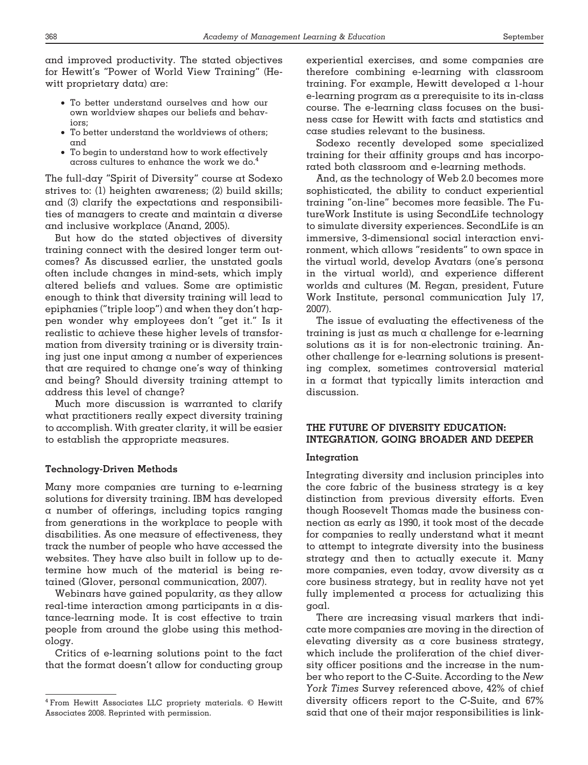and improved productivity. The stated objectives for Hewitt's "Power of World View Training" (Hewitt proprietary data) are:

- To better understand ourselves and how our own worldview shapes our beliefs and behaviors;
- To better understand the worldviews of others; and
- To begin to understand how to work effectively across cultures to enhance the work we do.4

The full-day "Spirit of Diversity" course at Sodexo strives to: (1) heighten awareness; (2) build skills; and (3) clarify the expectations and responsibilities of managers to create and maintain a diverse and inclusive workplace (Anand, 2005).

But how do the stated objectives of diversity training connect with the desired longer term outcomes? As discussed earlier, the unstated goals often include changes in mind-sets, which imply altered beliefs and values. Some are optimistic enough to think that diversity training will lead to epiphanies ("triple loop") and when they don't happen wonder why employees don't "get it." Is it realistic to achieve these higher levels of transformation from diversity training or is diversity training just one input among a number of experiences that are required to change one's way of thinking and being? Should diversity training attempt to address this level of change?

Much more discussion is warranted to clarify what practitioners really expect diversity training to accomplish. With greater clarity, it will be easier to establish the appropriate measures.

# **Technology-Driven Methods**

Many more companies are turning to e-learning solutions for diversity training. IBM has developed a number of offerings, including topics ranging from generations in the workplace to people with disabilities. As one measure of effectiveness, they track the number of people who have accessed the websites. They have also built in follow up to determine how much of the material is being retained (Glover, personal communication, 2007).

Webinars have gained popularity, as they allow  $real-time$  interaction among participants in a distance-learning mode. It is cost effective to train people from around the globe using this methodology.

Critics of e-learning solutions point to the fact that the format doesn't allow for conducting group

experiential exercises, and some companies are therefore combining e-learning with classroom training. For example, Hewitt developed a 1-hour e-learning program as a prerequisite to its in-class course. The e-learning class focuses on the business case for Hewitt with facts and statistics and case studies relevant to the business.

Sodexo recently developed some specialized training for their affinity groups and has incorporated both classroom and e-learning methods.

And, as the technology of Web 2.0 becomes more sophisticated, the ability to conduct experiential training "on-line" becomes more feasible. The FutureWork Institute is using SecondLife technology to simulate diversity experiences. SecondLife is an immersive, 3-dimensional social interaction environment, which allows "residents" to own space in the virtual world, develop Avatars (one's persona in the virtual world), and experience different worlds and cultures (M. Regan, president, Future Work Institute, personal communication July 17, 2007).

The issue of evaluating the effectiveness of the training is just as much a challenge for e-learning solutions as it is for non-electronic training. Another challenge for e-learning solutions is presenting complex, sometimes controversial material in a format that typically limits interaction and discussion.

# **THE FUTURE OF DIVERSITY EDUCATION: INTEGRATION, GOING BROADER AND DEEPER**

#### **Integration**

Integrating diversity and inclusion principles into the core fabric of the business strategy is a key distinction from previous diversity efforts. Even though Roosevelt Thomas made the business connection as early as 1990, it took most of the decade for companies to really understand what it meant to attempt to integrate diversity into the business strategy and then to actually execute it. Many more companies, even today, avow diversity as a core business strategy, but in reality have not yet fully implemented a process for actualizing this goal.

There are increasing visual markers that indicate more companies are moving in the direction of elevating diversity as a core business strategy, which include the proliferation of the chief diversity officer positions and the increase in the number who report to the C-Suite. According to the *New York Times* Survey referenced above, 42% of chief diversity officers report to the C-Suite, and 67% said that one of their major responsibilities is link-

<sup>4</sup> From Hewitt Associates LLC propriety materials. © Hewitt Associates 2008. Reprinted with permission.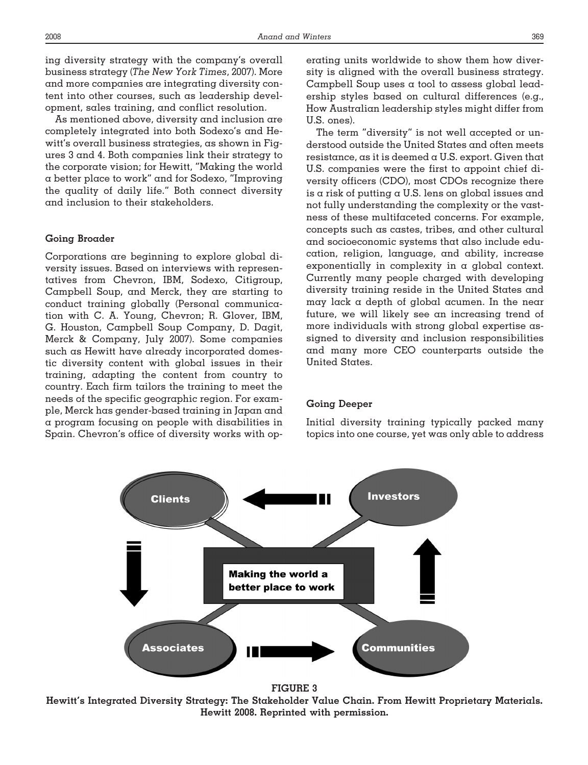ing diversity strategy with the company's overall business strategy (*The New York Times*, 2007). More and more companies are integrating diversity content into other courses, such as leadership development, sales training, and conflict resolution.

As mentioned above, diversity and inclusion are completely integrated into both Sodexo's and Hewitt's overall business strategies, as shown in Figures 3 and 4. Both companies link their strategy to the corporate vision; for Hewitt, "Making the world a better place to work" and for Sodexo, "Improving the quality of daily life." Both connect diversity and inclusion to their stakeholders.

# **Going Broader**

Corporations are beginning to explore global diversity issues. Based on interviews with representatives from Chevron, IBM, Sodexo, Citigroup, Campbell Soup, and Merck, they are starting to conduct training globally (Personal communication with C. A. Young, Chevron; R. Glover, IBM, G. Houston, Campbell Soup Company, D. Dagit, Merck & Company, July 2007). Some companies such as Hewitt have already incorporated domestic diversity content with global issues in their training, adapting the content from country to country. Each firm tailors the training to meet the needs of the specific geographic region. For example, Merck has gender-based training in Japan and a program focusing on people with disabilities in Spain. Chevron's office of diversity works with operating units worldwide to show them how diversity is aligned with the overall business strategy. Campbell Soup uses a tool to assess global leadership styles based on cultural differences (e.g., How Australian leadership styles might differ from U.S. ones).

The term "diversity" is not well accepted or understood outside the United States and often meets resistance, as it is deemed  $\alpha$  U.S. export. Given that U.S. companies were the first to appoint chief diversity officers (CDO), most CDOs recognize there is  $\alpha$  risk of putting  $\alpha$  U.S. lens on global issues and not fully understanding the complexity or the vastness of these multifaceted concerns. For example, concepts such as castes, tribes, and other cultural and socioeconomic systems that also include education, religion, language, and ability, increase exponentially in complexity in a global context. Currently many people charged with developing diversity training reside in the United States and may lack a depth of global acumen. In the near future, we will likely see an increasing trend of more individuals with strong global expertise assigned to diversity and inclusion responsibilities and many more CEO counterparts outside the United States.

#### **Going Deeper**

Initial diversity training typically packed many topics into one course, yet was only able to address



**Hewitt's Integrated Diversity Strategy: The Stakeholder Value Chain. From Hewitt Proprietary Materials. Hewitt 2008. Reprinted with permission.**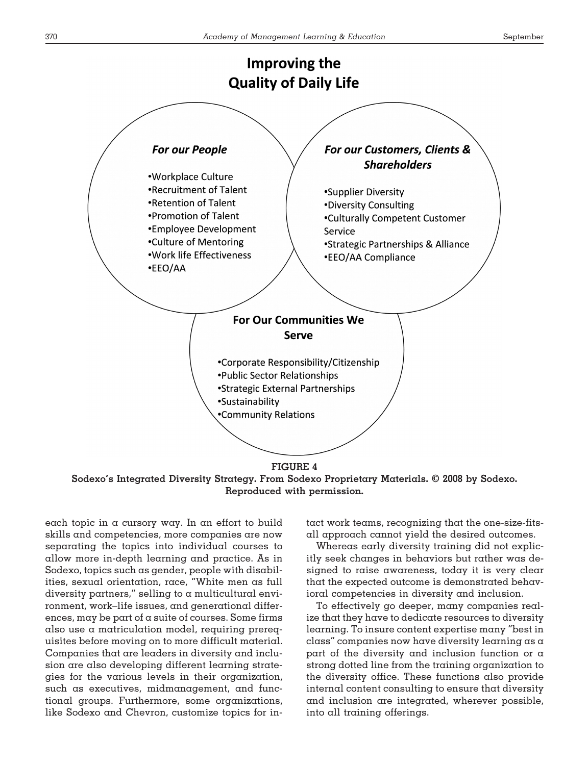

**Sodexo's Integrated Diversity Strategy. From Sodexo Proprietary Materials. © 2008 by Sodexo. Reproduced with permission.**

each topic in a cursory way. In an effort to build skills and competencies, more companies are now separating the topics into individual courses to allow more in-depth learning and practice. As in Sodexo, topics such as gender, people with disabilities, sexual orientation, race, "White men as full diversity partners," selling to a multicultural environment, work–life issues, and generational differences, may be part of a suite of courses. Some firms also use a matriculation model, requiring prerequisites before moving on to more difficult material. Companies that are leaders in diversity and inclusion are also developing different learning strategies for the various levels in their organization, such as executives, midmanagement, and functional groups. Furthermore, some organizations, like Sodexo and Chevron, customize topics for intact work teams, recognizing that the one-size-fitsall approach cannot yield the desired outcomes.

Whereas early diversity training did not explicitly seek changes in behaviors but rather was designed to raise awareness, today it is very clear that the expected outcome is demonstrated behavioral competencies in diversity and inclusion.

To effectively go deeper, many companies realize that they have to dedicate resources to diversity learning. To insure content expertise many "best in class" companies now have diversity learning as a part of the diversity and inclusion function or a strong dotted line from the training organization to the diversity office. These functions also provide internal content consulting to ensure that diversity and inclusion are integrated, wherever possible, into all training offerings.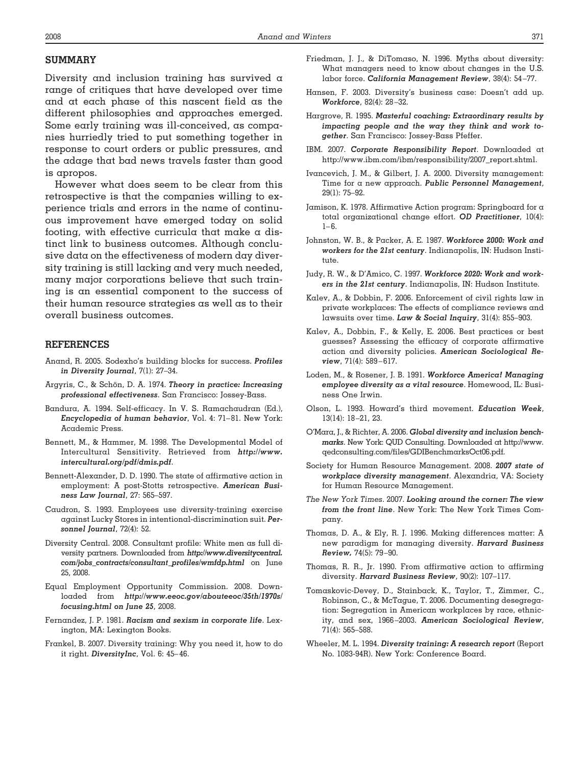# **SUMMARY**

Diversity and inclusion training has survived a range of critiques that have developed over time and at each phase of this nascent field as the different philosophies and approaches emerged. Some early training was ill-conceived, as companies hurriedly tried to put something together in response to court orders or public pressures, and the adage that bad news travels faster than good is apropos.

However what does seem to be clear from this retrospective is that the companies willing to experience trials and errors in the name of continuous improvement have emerged today on solid footing, with effective curricula that make  $\alpha$  distinct link to business outcomes. Although conclusive data on the effectiveness of modern day diversity training is still lacking and very much needed, many major corporations believe that such training is an essential component to the success of their human resource strategies as well as to their overall business outcomes.

# **REFERENCES**

- Anand, R. 2005. Sodexho's building blocks for success. *Profiles in Diversity Journal*, 7(1): 27–34.
- Argyris, C., & Schön, D. A. 1974. *Theory in practice: Increasing professional effectiveness*. San Francisco: Jossey-Bass.
- Bandura, A. 1994. Self-efficacy. In V. S. Ramachaudran (Ed.), *Encyclopedia of human behavior*, Vol. 4: 71– 81. New York: Academic Press.
- Bennett, M., & Hammer, M. 1998. The Developmental Model of Intercultural Sensitivity. Retrieved from *http://www. intercultural.org/pdf/dmis.pdf*.
- Bennett-Alexander, D. D. 1990. The state of affirmative action in employment: A post-Stotts retrospective. *American Business Law Journal*, 27: 565–597.
- Caudron, S. 1993. Employees use diversity-training exercise against Lucky Stores in intentional-discrimination suit. *Personnel Journal*, 72(4): 52.
- Diversity Central. 2008. Consultant profile: White men as full diversity partners. Downloaded from *http://www.diversitycentral. com/jobs\_contracts/consultant\_profiles/wmfdp.html* on June 25, 2008.
- Equal Employment Opportunity Commission. 2008. Downloaded from *http://www.eeoc.gov/abouteeoc/35th/1970s/ focusing.html on June 25*, 2008.
- Fernandez, J. P. 1981. *Racism and sexism in corporate life*. Lexington, MA: Lexington Books.
- Frankel, B. 2007. Diversity training: Why you need it, how to do it right. *DiversityInc*, Vol. 6: 45– 46.
- Friedman, J. J., & DiTomaso, N. 1996. Myths about diversity: What managers need to know about changes in the U.S. labor force. *California Management Review*, 38(4): 54 –77.
- Hansen, F. 2003. Diversity's business case: Doesn't add up. *Workforce*, 82(4): 28 –32.
- Hargrove, R. 1995. *Masterful coaching: Extraordinary results by impacting people and the way they think and work together*. San Francisco: Jossey-Bass Pfeffer.
- IBM. 2007. *Corporate Responsibility Report*. Downloaded at http://www.ibm.com/ibm/responsibility/2007\_report.shtml.
- Ivancevich, J. M., & Gilbert, J. A. 2000. Diversity management: Time for a new approach. *Public Personnel Management*, 29(1): 75–92.
- Jamison, K. 1978. Affirmative Action program: Springboard for a total organizational change effort. *OD Practitioner*, 10(4):  $1 - 6.$
- Johnston, W. B., & Packer, A. E. 1987. *Workforce 2000: Work and workers for the 21st century*. Indianapolis, IN: Hudson Institute.
- Judy, R. W., & D'Amico, C. 1997. *Workforce 2020: Work and workers in the 21st century*. Indianapolis, IN: Hudson Institute.
- Kalev, A., & Dobbin, F. 2006. Enforcement of civil rights law in private workplaces: The effects of compliance reviews and lawsuits over time. *Law & Social Inquiry*, 31(4): 855–903.
- Kalev, A., Dobbin, F., & Kelly, E. 2006. Best practices or best guesses? Assessing the efficacy of corporate affirmative action and diversity policies. *American Sociological Review*, 71(4): 589-617.
- Loden, M., & Rosener, J. B. 1991. *Workforce America! Managing employee diversity as a vital resource*. Homewood, IL: Business One Irwin.
- Olson, L. 1993. Howard's third movement. *Education Week*, 13(14): 18 –21, 23.
- O'Mara, J., & Richter, A. 2006. *Global diversity and inclusion benchmarks*. New York: QUD Consulting. Downloaded at http://www. qedconsulting.com/files/GDIBenchmarksOct06.pdf.
- Society for Human Resource Management. 2008. *2007 state of workplace diversity management*. Alexandria, VA: Society for Human Resource Management.
- *The New York Times*. 2007. *Looking around the corner: The view from the front line*. New York: The New York Times Company.
- Thomas, D. A., & Ely, R. J. 1996. Making differences matter: A new paradigm for managing diversity. *Harvard Business Review,* 74(5): 79 –90.
- Thomas, R. R., Jr. 1990. From affirmative action to affirming diversity. *Harvard Business Review*, 90(2): 107–117.
- Tomaskovic-Devey, D., Stainback, K., Taylor, T., Zimmer, C., Robinson, C., & McTague, T. 2006. Documenting desegregation: Segregation in American workplaces by race, ethnicity, and sex, 1966 –2003. *American Sociological Review*, 71(4): 565–588.
- Wheeler, M. L. 1994. *Diversity training: A research report* (Report No. 1083-94R). New York: Conference Board.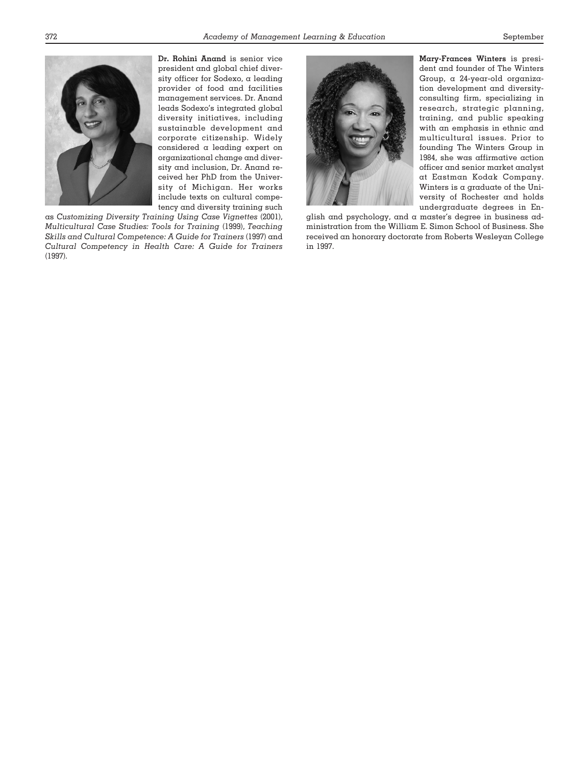

**Dr. Rohini Anand** is senior vice president and global chief diversity officer for Sodexo, a leading provider of food and facilities management services. Dr. Anand leads Sodexo's integrated global diversity initiatives, including sustainable development and corporate citizenship. Widely considered a leading expert on organizational change and diversity and inclusion, Dr. Anand received her PhD from the University of Michigan. Her works include texts on cultural competency and diversity training such

as *Customizing Diversity Training Using Case Vignettes* (2001), *Multicultural Case Studies: Tools for Training* (1999), *Teaching Skills and Cultural Competence: A Guide for Trainers* (1997) and *Cultural Competency in Health Care: A Guide for Trainers* (1997).



**Mary-Frances Winters** is president and founder of The Winters Group, a 24-year-old organization development and diversityconsulting firm, specializing in research, strategic planning, training, and public speaking with an emphasis in ethnic and multicultural issues. Prior to founding The Winters Group in 1984, she was affirmative action officer and senior market analyst at Eastman Kodak Company. Winters is a graduate of the University of Rochester and holds undergraduate degrees in En-

glish and psychology, and a master's degree in business administration from the William E. Simon School of Business. She received an honorary doctorate from Roberts Wesleyan College in 1997.